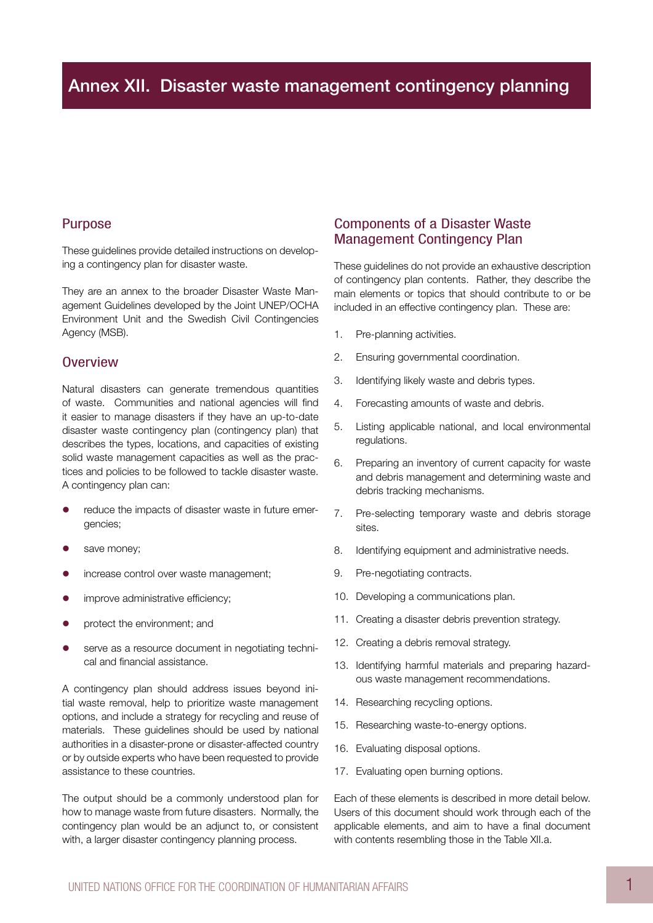### Purpose

These guidelines provide detailed instructions on developing a contingency plan for disaster waste.

They are an annex to the broader Disaster Waste Management Guidelines developed by the Joint UNEP/OCHA Environment Unit and the Swedish Civil Contingencies Agency (MSB).

#### **Overview**

Natural disasters can generate tremendous quantities of waste. Communities and national agencies will find it easier to manage disasters if they have an up-to-date disaster waste contingency plan (contingency plan) that describes the types, locations, and capacities of existing solid waste management capacities as well as the practices and policies to be followed to tackle disaster waste. A contingency plan can:

- **•** reduce the impacts of disaster waste in future emergencies;
- save money;
- **•** increase control over waste management:
- **•** improve administrative efficiency;
- protect the environment; and
- **e** serve as a resource document in negotiating technical and financial assistance.

A contingency plan should address issues beyond initial waste removal, help to prioritize waste management options, and include a strategy for recycling and reuse of materials. These guidelines should be used by national authorities in a disaster-prone or disaster-affected country or by outside experts who have been requested to provide assistance to these countries.

The output should be a commonly understood plan for how to manage waste from future disasters. Normally, the contingency plan would be an adjunct to, or consistent with, a larger disaster contingency planning process.

#### Components of a Disaster Waste Management Contingency Plan

These guidelines do not provide an exhaustive description of contingency plan contents. Rather, they describe the main elements or topics that should contribute to or be included in an effective contingency plan. These are:

- 1. Pre-planning activities.
- 2. Ensuring governmental coordination.
- 3. Identifying likely waste and debris types.
- 4. Forecasting amounts of waste and debris.
- 5. Listing applicable national, and local environmental regulations.
- 6. Preparing an inventory of current capacity for waste and debris management and determining waste and debris tracking mechanisms.
- 7. Pre-selecting temporary waste and debris storage sites.
- 8. Identifying equipment and administrative needs.
- 9. Pre-negotiating contracts.
- 10. Developing a communications plan.
- 11. Creating a disaster debris prevention strategy.
- 12. Creating a debris removal strategy.
- 13. Identifying harmful materials and preparing hazardous waste management recommendations.
- 14. Researching recycling options.
- 15. Researching waste-to-energy options.
- 16. Evaluating disposal options.
- 17. Evaluating open burning options.

Each of these elements is described in more detail below. Users of this document should work through each of the applicable elements, and aim to have a final document with contents resembling those in the Table XII.a.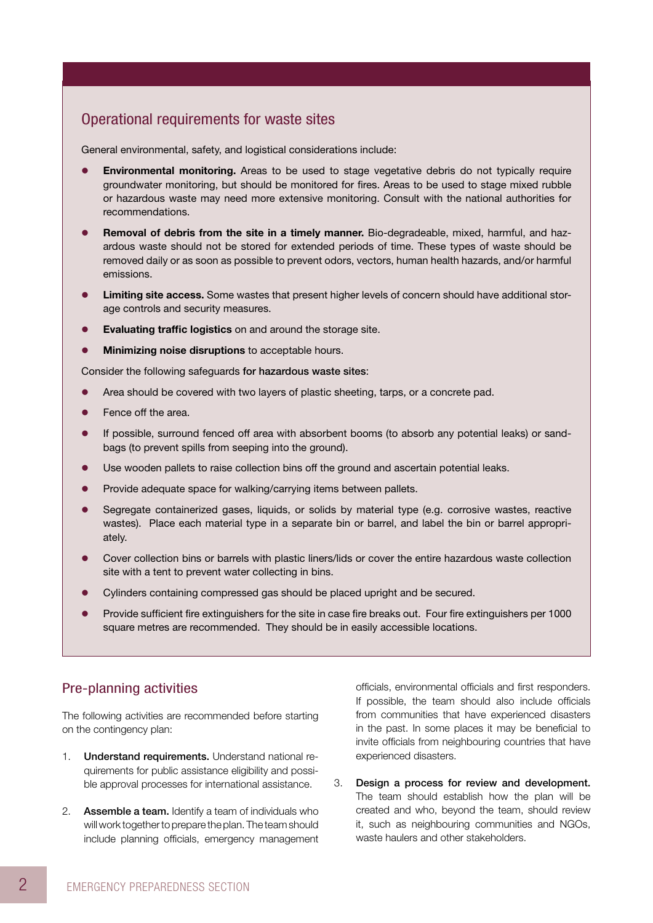### Operational requirements for waste sites

General environmental, safety, and logistical considerations include:

- **Environmental monitoring.** Areas to be used to stage vegetative debris do not typically require groundwater monitoring, but should be monitored for fires. Areas to be used to stage mixed rubble or hazardous waste may need more extensive monitoring. Consult with the national authorities for recommendations.
- **Removal of debris from the site in a timely manner.** Bio-degradeable, mixed, harmful, and hazardous waste should not be stored for extended periods of time. These types of waste should be removed daily or as soon as possible to prevent odors, vectors, human health hazards, and/or harmful emissions.
- **Limiting site access.** Some wastes that present higher levels of concern should have additional storage controls and security measures.
- **Evaluating traffic logistics** on and around the storage site.
- **Minimizing noise disruptions** to acceptable hours.

Consider the following safeguards for hazardous waste sites:

- Area should be covered with two layers of plastic sheeting, tarps, or a concrete pad.
- Fence off the area.
- **If possible, surround fenced off area with absorbent booms (to absorb any potential leaks) or sand**bags (to prevent spills from seeping into the ground).
- Use wooden pallets to raise collection bins off the ground and ascertain potential leaks.
- Provide adequate space for walking/carrying items between pallets.
- Segregate containerized gases, liquids, or solids by material type (e.g. corrosive wastes, reactive wastes). Place each material type in a separate bin or barrel, and label the bin or barrel appropriately.
- Cover collection bins or barrels with plastic liners/lids or cover the entire hazardous waste collection site with a tent to prevent water collecting in bins.
- **•** Cylinders containing compressed gas should be placed upright and be secured.
- Provide sufficient fire extinguishers for the site in case fire breaks out. Four fire extinguishers per 1000 square metres are recommended. They should be in easily accessible locations.

#### Pre-planning activities

The following activities are recommended before starting on the contingency plan:

- 1. **Understand requirements.** Understand national requirements for public assistance eligibility and possible approval processes for international assistance.
- 2. Assemble a team. Identify a team of individuals who will work together to prepare the plan. The team should include planning officials, emergency management

officials, environmental officials and first responders. If possible, the team should also include officials from communities that have experienced disasters in the past. In some places it may be beneficial to invite officials from neighbouring countries that have experienced disasters.

3. Design a process for review and development. The team should establish how the plan will be created and who, beyond the team, should review it, such as neighbouring communities and NGOs, waste haulers and other stakeholders.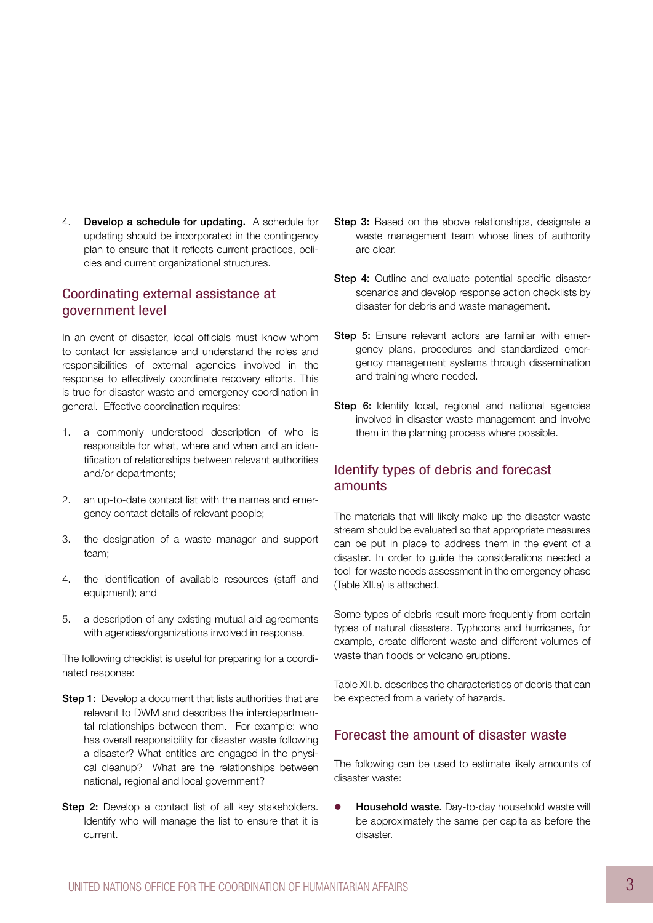4. Develop a schedule for updating. A schedule for updating should be incorporated in the contingency plan to ensure that it reflects current practices, policies and current organizational structures.

### Coordinating external assistance at government level

In an event of disaster, local officials must know whom to contact for assistance and understand the roles and responsibilities of external agencies involved in the response to effectively coordinate recovery efforts. This is true for disaster waste and emergency coordination in general. Effective coordination requires:

- 1. a commonly understood description of who is responsible for what, where and when and an identification of relationships between relevant authorities and/or departments;
- 2. an up-to-date contact list with the names and emergency contact details of relevant people;
- 3. the designation of a waste manager and support team;
- 4. the identification of available resources (staff and equipment); and
- 5. a description of any existing mutual aid agreements with agencies/organizations involved in response.

The following checklist is useful for preparing for a coordinated response:

- **Step 1:** Develop a document that lists authorities that are relevant to DWM and describes the interdepartmental relationships between them. For example: who has overall responsibility for disaster waste following a disaster? What entities are engaged in the physical cleanup? What are the relationships between national, regional and local government?
- Step 2: Develop a contact list of all key stakeholders. Identify who will manage the list to ensure that it is current.
- Step 3: Based on the above relationships, designate a waste management team whose lines of authority are clear.
- Step 4: Outline and evaluate potential specific disaster scenarios and develop response action checklists by disaster for debris and waste management.
- Step 5: Ensure relevant actors are familiar with emergency plans, procedures and standardized emergency management systems through dissemination and training where needed.
- Step 6: Identify local, regional and national agencies involved in disaster waste management and involve them in the planning process where possible.

### Identify types of debris and forecast amounts

The materials that will likely make up the disaster waste stream should be evaluated so that appropriate measures can be put in place to address them in the event of a disaster. In order to guide the considerations needed a tool for waste needs assessment in the emergency phase (Table XII.a) is attached.

Some types of debris result more frequently from certain types of natural disasters. Typhoons and hurricanes, for example, create different waste and different volumes of waste than floods or volcano eruptions.

Table XII.b. describes the characteristics of debris that can be expected from a variety of hazards.

### Forecast the amount of disaster waste

The following can be used to estimate likely amounts of disaster waste:

**• Household waste.** Day-to-day household waste will be approximately the same per capita as before the disaster.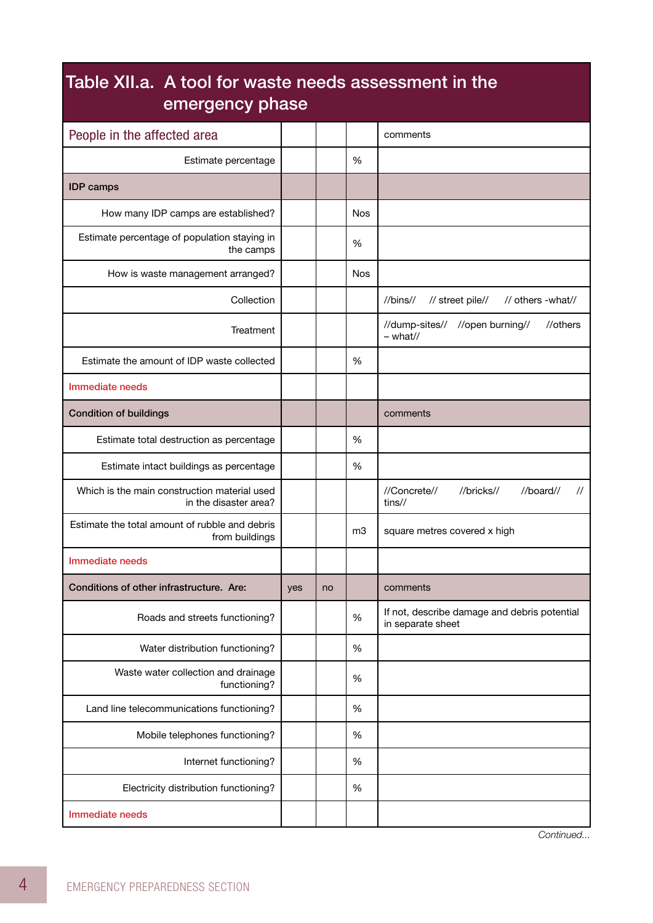| Table XII.a. A tool for waste needs assessment in the<br>emergency phase |     |    |            |                                                                     |  |  |  |  |
|--------------------------------------------------------------------------|-----|----|------------|---------------------------------------------------------------------|--|--|--|--|
| People in the affected area                                              |     |    |            | comments                                                            |  |  |  |  |
| Estimate percentage                                                      |     |    | %          |                                                                     |  |  |  |  |
| <b>IDP</b> camps                                                         |     |    |            |                                                                     |  |  |  |  |
| How many IDP camps are established?                                      |     |    | Nos        |                                                                     |  |  |  |  |
| Estimate percentage of population staying in<br>the camps                |     |    | %          |                                                                     |  |  |  |  |
| How is waste management arranged?                                        |     |    | <b>Nos</b> |                                                                     |  |  |  |  |
| Collection                                                               |     |    |            | //bins//<br>// street pile//<br>// others -what//                   |  |  |  |  |
| Treatment                                                                |     |    |            | //dump-sites// //open burning//<br>//others<br>$-$ what//           |  |  |  |  |
| Estimate the amount of IDP waste collected                               |     |    | %          |                                                                     |  |  |  |  |
| Immediate needs                                                          |     |    |            |                                                                     |  |  |  |  |
| <b>Condition of buildings</b>                                            |     |    |            | comments                                                            |  |  |  |  |
| Estimate total destruction as percentage                                 |     |    | %          |                                                                     |  |  |  |  |
| Estimate intact buildings as percentage                                  |     |    | %          |                                                                     |  |  |  |  |
| Which is the main construction material used<br>in the disaster area?    |     |    |            | //Concrete//<br>//bricks//<br>//board//<br>$\prime\prime$<br>tins// |  |  |  |  |
| Estimate the total amount of rubble and debris<br>from buildings         |     |    | m3         | square metres covered x high                                        |  |  |  |  |
| Immediate needs                                                          |     |    |            |                                                                     |  |  |  |  |
| Conditions of other infrastructure. Are:                                 | yes | no |            | comments                                                            |  |  |  |  |
| Roads and streets functioning?                                           |     |    | %          | If not, describe damage and debris potential<br>in separate sheet   |  |  |  |  |
| Water distribution functioning?                                          |     |    | %          |                                                                     |  |  |  |  |
| Waste water collection and drainage<br>functioning?                      |     |    | %          |                                                                     |  |  |  |  |
| Land line telecommunications functioning?                                |     |    | %          |                                                                     |  |  |  |  |
| Mobile telephones functioning?                                           |     |    | %          |                                                                     |  |  |  |  |
| Internet functioning?                                                    |     |    | %          |                                                                     |  |  |  |  |
| Electricity distribution functioning?                                    |     |    | %          |                                                                     |  |  |  |  |
| Immediate needs                                                          |     |    |            |                                                                     |  |  |  |  |

*Continued...*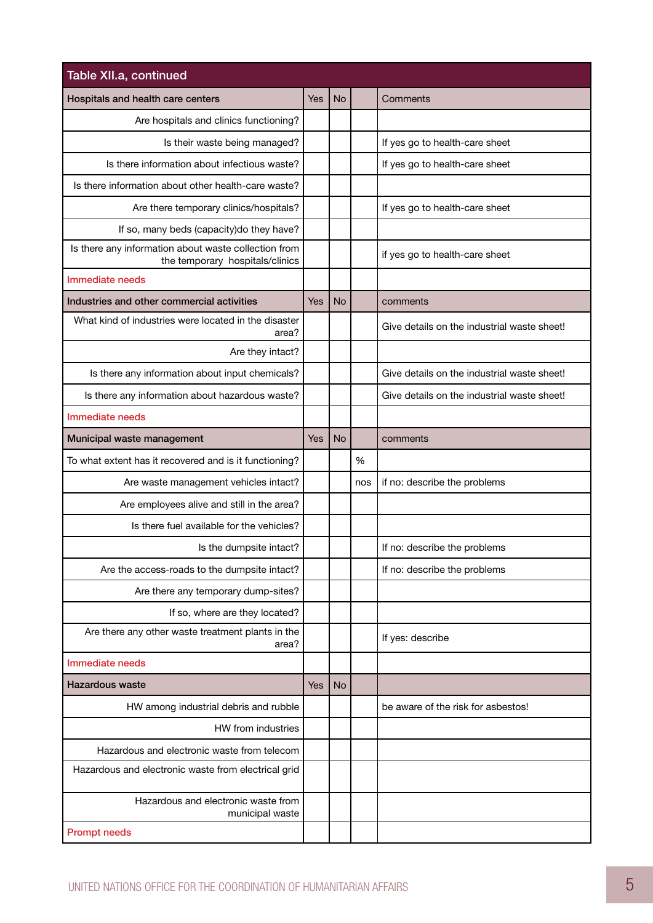| Table XII.a, continued                                                                  |            |           |     |                                             |
|-----------------------------------------------------------------------------------------|------------|-----------|-----|---------------------------------------------|
| Hospitals and health care centers                                                       | <b>Yes</b> | <b>No</b> |     | Comments                                    |
| Are hospitals and clinics functioning?                                                  |            |           |     |                                             |
| Is their waste being managed?                                                           |            |           |     | If yes go to health-care sheet              |
| Is there information about infectious waste?                                            |            |           |     | If yes go to health-care sheet              |
| Is there information about other health-care waste?                                     |            |           |     |                                             |
| Are there temporary clinics/hospitals?                                                  |            |           |     | If yes go to health-care sheet              |
| If so, many beds (capacity) do they have?                                               |            |           |     |                                             |
| Is there any information about waste collection from<br>the temporary hospitals/clinics |            |           |     | if yes go to health-care sheet              |
| Immediate needs                                                                         |            |           |     |                                             |
| Industries and other commercial activities                                              | Yes        | <b>No</b> |     | comments                                    |
| What kind of industries were located in the disaster<br>area?                           |            |           |     | Give details on the industrial waste sheet! |
| Are they intact?                                                                        |            |           |     |                                             |
| Is there any information about input chemicals?                                         |            |           |     | Give details on the industrial waste sheet! |
| Is there any information about hazardous waste?                                         |            |           |     | Give details on the industrial waste sheet! |
| Immediate needs                                                                         |            |           |     |                                             |
| Municipal waste management                                                              | Yes        | <b>No</b> |     | comments                                    |
| To what extent has it recovered and is it functioning?                                  |            |           | %   |                                             |
| Are waste management vehicles intact?                                                   |            |           | nos | if no: describe the problems                |
| Are employees alive and still in the area?                                              |            |           |     |                                             |
| Is there fuel available for the vehicles?                                               |            |           |     |                                             |
| Is the dumpsite intact?                                                                 |            |           |     | If no: describe the problems                |
| Are the access-roads to the dumpsite intact?                                            |            |           |     | If no: describe the problems                |
| Are there any temporary dump-sites?                                                     |            |           |     |                                             |
| If so, where are they located?                                                          |            |           |     |                                             |
| Are there any other waste treatment plants in the<br>area?                              |            |           |     | If yes: describe                            |
| Immediate needs                                                                         |            |           |     |                                             |
| Hazardous waste                                                                         | <b>Yes</b> | <b>No</b> |     |                                             |
| HW among industrial debris and rubble                                                   |            |           |     | be aware of the risk for asbestos!          |
| HW from industries                                                                      |            |           |     |                                             |
| Hazardous and electronic waste from telecom                                             |            |           |     |                                             |
| Hazardous and electronic waste from electrical grid                                     |            |           |     |                                             |
| Hazardous and electronic waste from<br>municipal waste                                  |            |           |     |                                             |
| <b>Prompt needs</b>                                                                     |            |           |     |                                             |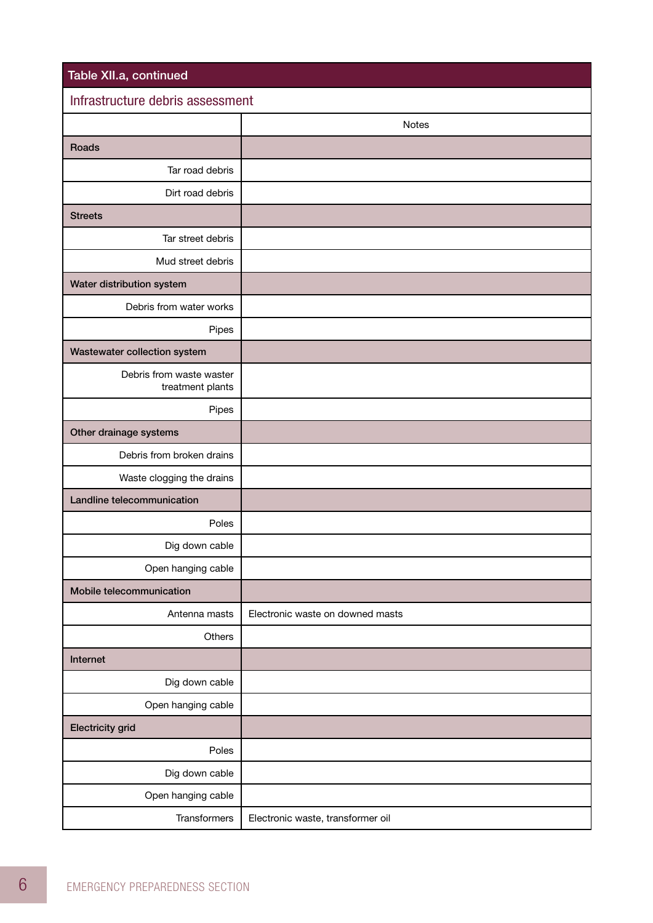| Table XII.a, continued                       |                                   |  |  |  |  |  |
|----------------------------------------------|-----------------------------------|--|--|--|--|--|
| Infrastructure debris assessment             |                                   |  |  |  |  |  |
|                                              | Notes                             |  |  |  |  |  |
| Roads                                        |                                   |  |  |  |  |  |
| Tar road debris                              |                                   |  |  |  |  |  |
| Dirt road debris                             |                                   |  |  |  |  |  |
| <b>Streets</b>                               |                                   |  |  |  |  |  |
| Tar street debris                            |                                   |  |  |  |  |  |
| Mud street debris                            |                                   |  |  |  |  |  |
| Water distribution system                    |                                   |  |  |  |  |  |
| Debris from water works                      |                                   |  |  |  |  |  |
| Pipes                                        |                                   |  |  |  |  |  |
| Wastewater collection system                 |                                   |  |  |  |  |  |
| Debris from waste waster<br>treatment plants |                                   |  |  |  |  |  |
| Pipes                                        |                                   |  |  |  |  |  |
| Other drainage systems                       |                                   |  |  |  |  |  |
| Debris from broken drains                    |                                   |  |  |  |  |  |
| Waste clogging the drains                    |                                   |  |  |  |  |  |
| Landline telecommunication                   |                                   |  |  |  |  |  |
| Poles                                        |                                   |  |  |  |  |  |
| Dig down cable                               |                                   |  |  |  |  |  |
| Open hanging cable                           |                                   |  |  |  |  |  |
| Mobile telecommunication                     |                                   |  |  |  |  |  |
| Antenna masts                                | Electronic waste on downed masts  |  |  |  |  |  |
| Others                                       |                                   |  |  |  |  |  |
| Internet                                     |                                   |  |  |  |  |  |
| Dig down cable                               |                                   |  |  |  |  |  |
| Open hanging cable                           |                                   |  |  |  |  |  |
| <b>Electricity grid</b>                      |                                   |  |  |  |  |  |
| Poles                                        |                                   |  |  |  |  |  |
| Dig down cable                               |                                   |  |  |  |  |  |
| Open hanging cable                           |                                   |  |  |  |  |  |
| <b>Transformers</b>                          | Electronic waste, transformer oil |  |  |  |  |  |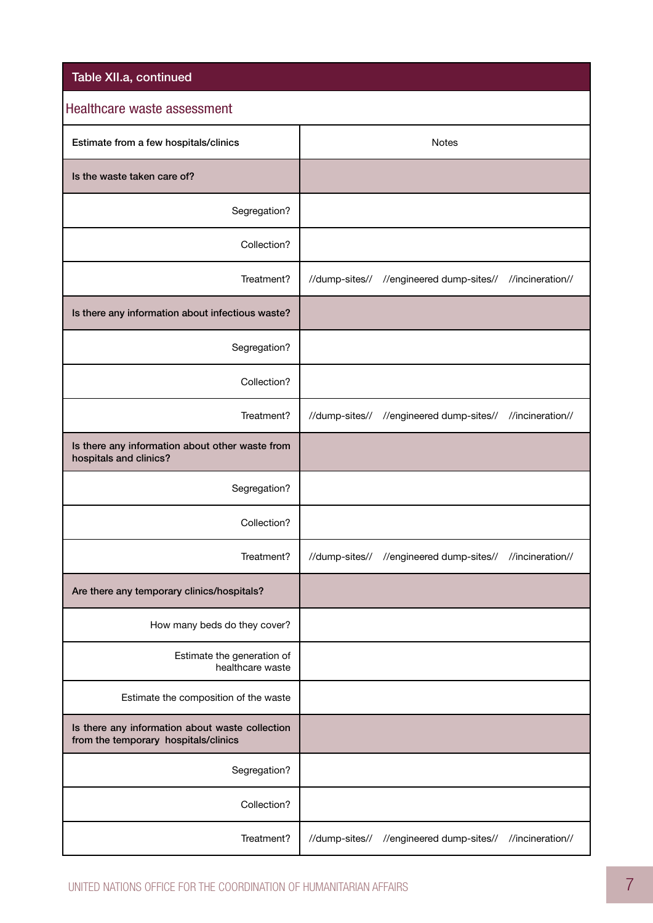| Table XII.a, continued                                                                  |                |                                                           |                  |
|-----------------------------------------------------------------------------------------|----------------|-----------------------------------------------------------|------------------|
| Healthcare waste assessment                                                             |                |                                                           |                  |
| Estimate from a few hospitals/clinics                                                   |                | <b>Notes</b>                                              |                  |
| Is the waste taken care of?                                                             |                |                                                           |                  |
| Segregation?                                                                            |                |                                                           |                  |
| Collection?                                                                             |                |                                                           |                  |
| Treatment?                                                                              | //dump-sites// | //engineered dump-sites//                                 | //incineration// |
| Is there any information about infectious waste?                                        |                |                                                           |                  |
| Segregation?                                                                            |                |                                                           |                  |
| Collection?                                                                             |                |                                                           |                  |
| Treatment?                                                                              | //dump-sites// | //engineered dump-sites// //incineration//                |                  |
| Is there any information about other waste from<br>hospitals and clinics?               |                |                                                           |                  |
| Segregation?                                                                            |                |                                                           |                  |
| Collection?                                                                             |                |                                                           |                  |
| Treatment?                                                                              |                | //dump-sites// //engineered dump-sites// //incineration// |                  |
| Are there any temporary clinics/hospitals?                                              |                |                                                           |                  |
| How many beds do they cover?                                                            |                |                                                           |                  |
| Estimate the generation of<br>healthcare waste                                          |                |                                                           |                  |
| Estimate the composition of the waste                                                   |                |                                                           |                  |
| Is there any information about waste collection<br>from the temporary hospitals/clinics |                |                                                           |                  |
| Segregation?                                                                            |                |                                                           |                  |
| Collection?                                                                             |                |                                                           |                  |
| Treatment?                                                                              | //dump-sites// | //engineered dump-sites//                                 | //incineration// |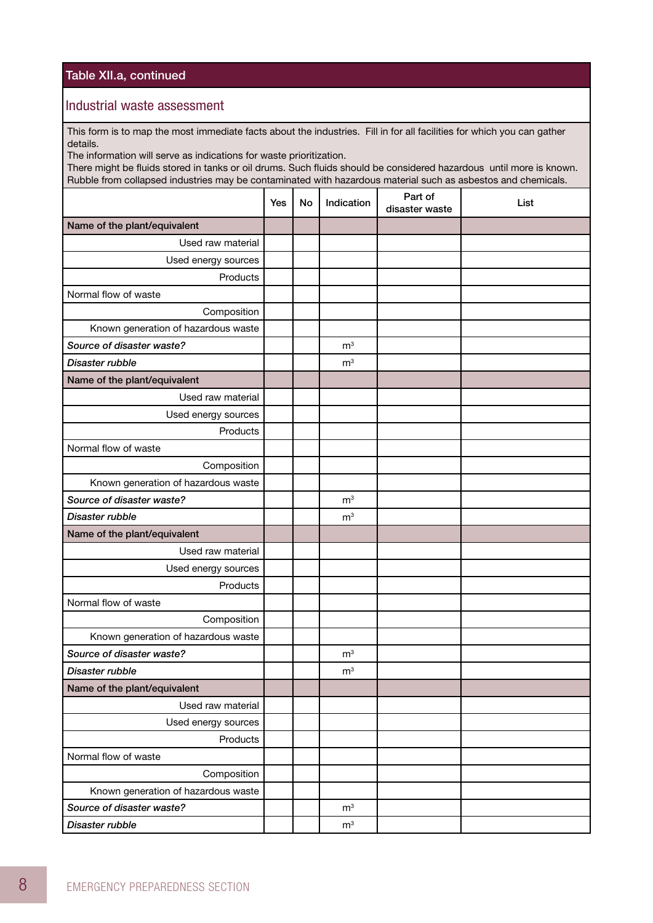#### Table XII.a, continued

#### Industrial waste assessment

This form is to map the most immediate facts about the industries. Fill in for all facilities for which you can gather details.

The information will serve as indications for waste prioritization.

There might be fluids stored in tanks or oil drums. Such fluids should be considered hazardous until more is known. Rubble from collapsed industries may be contaminated with hazardous material such as asbestos and chemicals.

|                                     | Yes | No | Indication     | Part of<br>disaster waste | List |
|-------------------------------------|-----|----|----------------|---------------------------|------|
| Name of the plant/equivalent        |     |    |                |                           |      |
| Used raw material                   |     |    |                |                           |      |
| Used energy sources                 |     |    |                |                           |      |
| Products                            |     |    |                |                           |      |
| Normal flow of waste                |     |    |                |                           |      |
| Composition                         |     |    |                |                           |      |
| Known generation of hazardous waste |     |    |                |                           |      |
| Source of disaster waste?           |     |    | m <sup>3</sup> |                           |      |
| Disaster rubble                     |     |    | m <sup>3</sup> |                           |      |
| Name of the plant/equivalent        |     |    |                |                           |      |
| Used raw material                   |     |    |                |                           |      |
| Used energy sources                 |     |    |                |                           |      |
| Products                            |     |    |                |                           |      |
| Normal flow of waste                |     |    |                |                           |      |
| Composition                         |     |    |                |                           |      |
| Known generation of hazardous waste |     |    |                |                           |      |
| Source of disaster waste?           |     |    | m <sup>3</sup> |                           |      |
| Disaster rubble                     |     |    | m <sup>3</sup> |                           |      |
| Name of the plant/equivalent        |     |    |                |                           |      |
| Used raw material                   |     |    |                |                           |      |
| Used energy sources                 |     |    |                |                           |      |
| Products                            |     |    |                |                           |      |
| Normal flow of waste                |     |    |                |                           |      |
| Composition                         |     |    |                |                           |      |
| Known generation of hazardous waste |     |    |                |                           |      |
| Source of disaster waste?           |     |    | m <sup>3</sup> |                           |      |
| Disaster rubble                     |     |    | m <sup>3</sup> |                           |      |
| Name of the plant/equivalent        |     |    |                |                           |      |
| Used raw material                   |     |    |                |                           |      |
| Used energy sources                 |     |    |                |                           |      |
| Products                            |     |    |                |                           |      |
| Normal flow of waste                |     |    |                |                           |      |
| Composition                         |     |    |                |                           |      |
| Known generation of hazardous waste |     |    |                |                           |      |
| Source of disaster waste?           |     |    | m <sup>3</sup> |                           |      |
| Disaster rubble                     |     |    | m <sup>3</sup> |                           |      |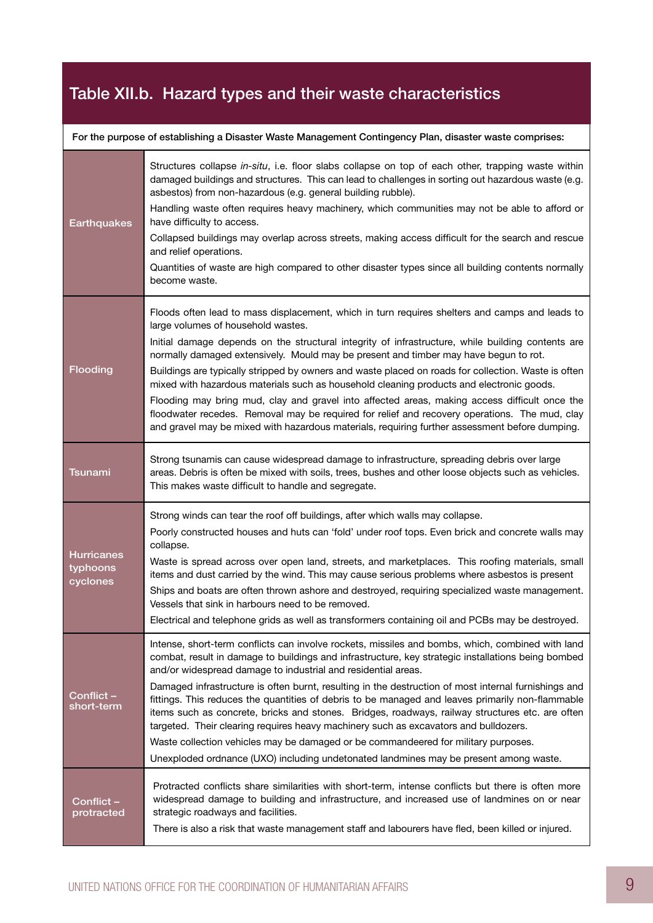# Table XII.b. Hazard types and their waste characteristics

| For the purpose of establishing a Disaster Waste Management Contingency Plan, disaster waste comprises: |  |  |  |  |
|---------------------------------------------------------------------------------------------------------|--|--|--|--|
|                                                                                                         |  |  |  |  |

| <b>Earthquakes</b>                        | Structures collapse in-situ, i.e. floor slabs collapse on top of each other, trapping waste within<br>damaged buildings and structures. This can lead to challenges in sorting out hazardous waste (e.g.<br>asbestos) from non-hazardous (e.g. general building rubble).<br>Handling waste often requires heavy machinery, which communities may not be able to afford or<br>have difficulty to access.<br>Collapsed buildings may overlap across streets, making access difficult for the search and rescue<br>and relief operations.<br>Quantities of waste are high compared to other disaster types since all building contents normally<br>become waste.                                                                                                                                                                                                 |
|-------------------------------------------|---------------------------------------------------------------------------------------------------------------------------------------------------------------------------------------------------------------------------------------------------------------------------------------------------------------------------------------------------------------------------------------------------------------------------------------------------------------------------------------------------------------------------------------------------------------------------------------------------------------------------------------------------------------------------------------------------------------------------------------------------------------------------------------------------------------------------------------------------------------|
| Flooding                                  | Floods often lead to mass displacement, which in turn requires shelters and camps and leads to<br>large volumes of household wastes.<br>Initial damage depends on the structural integrity of infrastructure, while building contents are<br>normally damaged extensively. Mould may be present and timber may have begun to rot.<br>Buildings are typically stripped by owners and waste placed on roads for collection. Waste is often<br>mixed with hazardous materials such as household cleaning products and electronic goods.<br>Flooding may bring mud, clay and gravel into affected areas, making access difficult once the<br>floodwater recedes. Removal may be required for relief and recovery operations. The mud, clay<br>and gravel may be mixed with hazardous materials, requiring further assessment before dumping.                      |
| <b>Tsunami</b>                            | Strong tsunamis can cause widespread damage to infrastructure, spreading debris over large<br>areas. Debris is often be mixed with soils, trees, bushes and other loose objects such as vehicles.<br>This makes waste difficult to handle and segregate.                                                                                                                                                                                                                                                                                                                                                                                                                                                                                                                                                                                                      |
| <b>Hurricanes</b><br>typhoons<br>cyclones | Strong winds can tear the roof off buildings, after which walls may collapse.<br>Poorly constructed houses and huts can 'fold' under roof tops. Even brick and concrete walls may<br>collapse.<br>Waste is spread across over open land, streets, and marketplaces. This roofing materials, small<br>items and dust carried by the wind. This may cause serious problems where asbestos is present<br>Ships and boats are often thrown ashore and destroyed, requiring specialized waste management.<br>Vessels that sink in harbours need to be removed.<br>Electrical and telephone grids as well as transformers containing oil and PCBs may be destroyed.                                                                                                                                                                                                 |
|                                           |                                                                                                                                                                                                                                                                                                                                                                                                                                                                                                                                                                                                                                                                                                                                                                                                                                                               |
| Conflict-<br>short-term                   | Intense, short-term conflicts can involve rockets, missiles and bombs, which, combined with land<br>combat, result in damage to buildings and infrastructure, key strategic installations being bombed<br>and/or widespread damage to industrial and residential areas.<br>Damaged infrastructure is often burnt, resulting in the destruction of most internal furnishings and<br>fittings. This reduces the quantities of debris to be managed and leaves primarily non-flammable<br>items such as concrete, bricks and stones. Bridges, roadways, railway structures etc. are often<br>targeted. Their clearing requires heavy machinery such as excavators and bulldozers.<br>Waste collection vehicles may be damaged or be commandeered for military purposes.<br>Unexploded ordnance (UXO) including undetonated landmines may be present among waste. |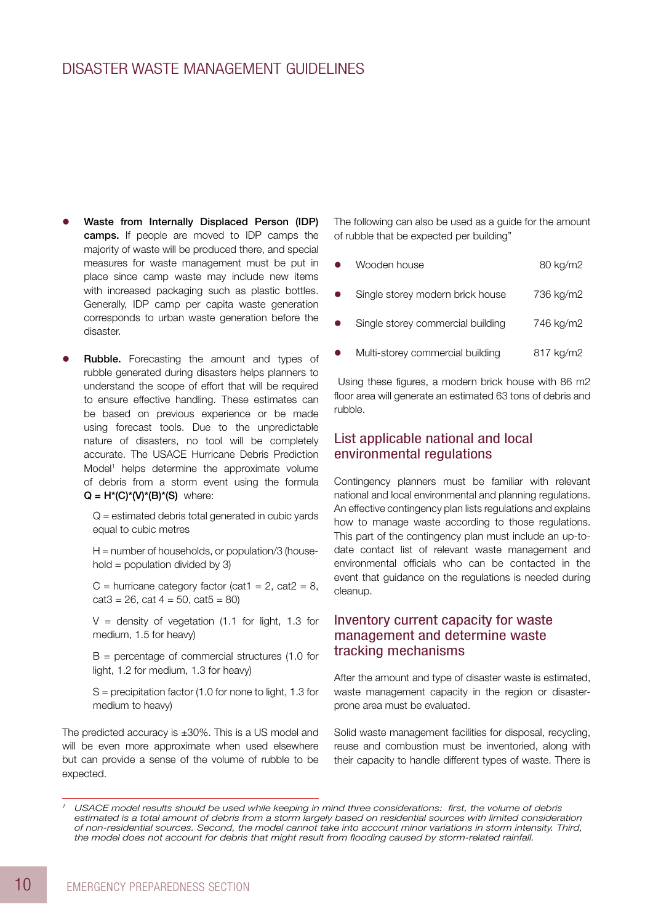### Disaster Waste Management Guidelines

- Waste from Internally Displaced Person (IDP) camps. If people are moved to IDP camps the majority of waste will be produced there, and special measures for waste management must be put in place since camp waste may include new items with increased packaging such as plastic bottles. Generally, IDP camp per capita waste generation corresponds to urban waste generation before the disaster.
- Rubble. Forecasting the amount and types of rubble generated during disasters helps planners to understand the scope of effort that will be required to ensure effective handling. These estimates can be based on previous experience or be made using forecast tools. Due to the unpredictable nature of disasters, no tool will be completely accurate. The USACE Hurricane Debris Prediction Model<sup>1</sup> helps determine the approximate volume of debris from a storm event using the formula  $Q = H<sup>*</sup>(C)<sup>*</sup>(V)<sup>*</sup>(B)<sup>*</sup>(S)$  where:

 $Q =$  estimated debris total generated in cubic yards equal to cubic metres

 $H =$  number of households, or population/3 (household  $=$  population divided by 3)

C = hurricane category factor (cat1 = 2, cat2 = 8,  $cat3 = 26$ ,  $cat 4 = 50$ ,  $cat5 = 80$ )

 $V =$  density of vegetation (1.1 for light, 1.3 for medium, 1.5 for heavy)

B = percentage of commercial structures (1.0 for light, 1.2 for medium, 1.3 for heavy)

S = precipitation factor (1.0 for none to light, 1.3 for medium to heavy)

The predicted accuracy is ±30%. This is a US model and will be even more approximate when used elsewhere but can provide a sense of the volume of rubble to be expected.

The following can also be used as a guide for the amount of rubble that be expected per building"

| $\bullet$ | Wooden house                      | 80 kg/m2  |
|-----------|-----------------------------------|-----------|
| $\bullet$ | Single storey modern brick house  | 736 kg/m2 |
| $\bullet$ | Single storey commercial building | 746 kg/m2 |
| $\bullet$ | Multi-storey commercial building  | 817 kg/m2 |

 Using these figures, a modern brick house with 86 m2 floor area will generate an estimated 63 tons of debris and rubble.

#### List applicable national and local environmental regulations

Contingency planners must be familiar with relevant national and local environmental and planning regulations. An effective contingency plan lists regulations and explains how to manage waste according to those regulations. This part of the contingency plan must include an up-todate contact list of relevant waste management and environmental officials who can be contacted in the event that guidance on the regulations is needed during cleanup.

### Inventory current capacity for waste management and determine waste tracking mechanisms

After the amount and type of disaster waste is estimated, waste management capacity in the region or disasterprone area must be evaluated.

Solid waste management facilities for disposal, recycling, reuse and combustion must be inventoried, along with their capacity to handle different types of waste. There is

*<sup>1</sup> USACE model results should be used while keeping in mind three considerations: first, the volume of debris*  estimated is a total amount of debris from a storm largely based on residential sources with limited consideration *of non-residential sources. Second, the model cannot take into account minor variations in storm intensity. Third, the model does not account for debris that might result from flooding caused by storm-related rainfall.*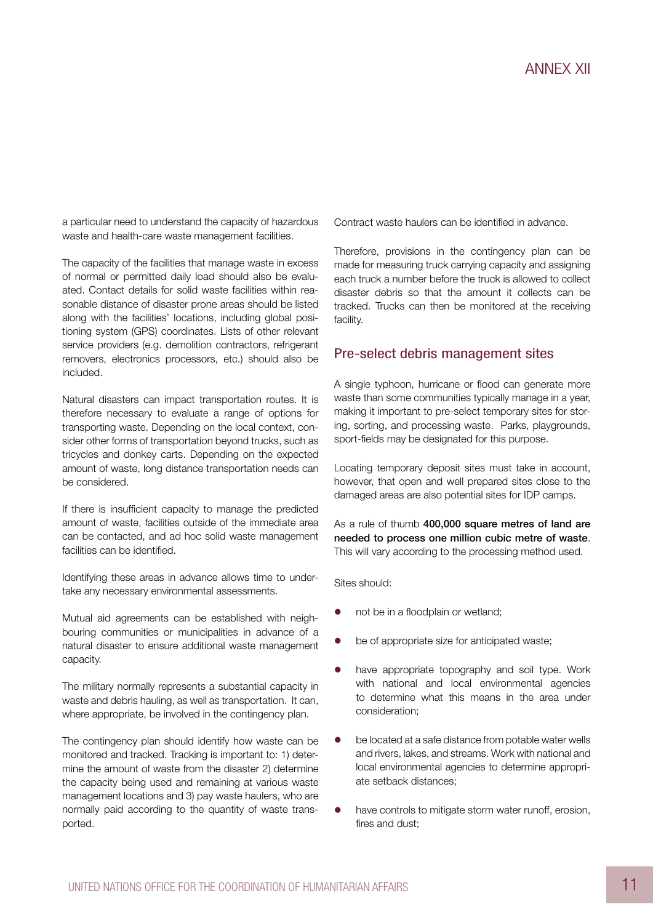a particular need to understand the capacity of hazardous waste and health-care waste management facilities.

The capacity of the facilities that manage waste in excess of normal or permitted daily load should also be evaluated. Contact details for solid waste facilities within reasonable distance of disaster prone areas should be listed along with the facilities' locations, including global positioning system (GPS) coordinates. Lists of other relevant service providers (e.g. demolition contractors, refrigerant removers, electronics processors, etc.) should also be included.

Natural disasters can impact transportation routes. It is therefore necessary to evaluate a range of options for transporting waste. Depending on the local context, consider other forms of transportation beyond trucks, such as tricycles and donkey carts. Depending on the expected amount of waste, long distance transportation needs can be considered.

If there is insufficient capacity to manage the predicted amount of waste, facilities outside of the immediate area can be contacted, and ad hoc solid waste management facilities can be identified.

Identifying these areas in advance allows time to undertake any necessary environmental assessments.

Mutual aid agreements can be established with neighbouring communities or municipalities in advance of a natural disaster to ensure additional waste management capacity.

The military normally represents a substantial capacity in waste and debris hauling, as well as transportation. It can, where appropriate, be involved in the contingency plan.

The contingency plan should identify how waste can be monitored and tracked. Tracking is important to: 1) determine the amount of waste from the disaster 2) determine the capacity being used and remaining at various waste management locations and 3) pay waste haulers, who are normally paid according to the quantity of waste transported.

Contract waste haulers can be identified in advance.

Therefore, provisions in the contingency plan can be made for measuring truck carrying capacity and assigning each truck a number before the truck is allowed to collect disaster debris so that the amount it collects can be tracked. Trucks can then be monitored at the receiving facility.

#### Pre-select debris management sites

A single typhoon, hurricane or flood can generate more waste than some communities typically manage in a year, making it important to pre-select temporary sites for storing, sorting, and processing waste. Parks, playgrounds, sport-fields may be designated for this purpose.

Locating temporary deposit sites must take in account, however, that open and well prepared sites close to the damaged areas are also potential sites for IDP camps.

As a rule of thumb 400,000 square metres of land are needed to process one million cubic metre of waste. This will vary according to the processing method used.

Sites should:

- not be in a floodplain or wetland;
- $\bullet$  be of appropriate size for anticipated waste;
- have appropriate topography and soil type. Work with national and local environmental agencies to determine what this means in the area under consideration;
- $\bullet$  be located at a safe distance from potable water wells and rivers, lakes, and streams. Work with national and local environmental agencies to determine appropriate setback distances;
- $\bullet$  have controls to mitigate storm water runoff, erosion, fires and dust;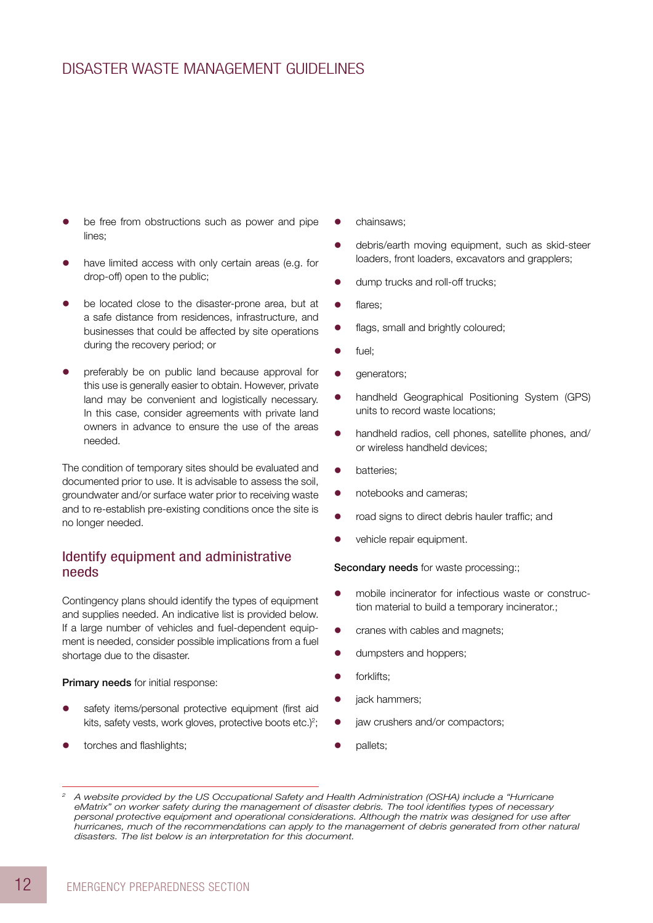### Disaster Waste Management Guidelines

- be free from obstructions such as power and pipe lines;
- have limited access with only certain areas (e.g. for drop-off) open to the public;
- be located close to the disaster-prone area, but at a safe distance from residences, infrastructure, and businesses that could be affected by site operations during the recovery period; or
- preferably be on public land because approval for this use is generally easier to obtain. However, private land may be convenient and logistically necessary. In this case, consider agreements with private land owners in advance to ensure the use of the areas needed.

The condition of temporary sites should be evaluated and documented prior to use. It is advisable to assess the soil, groundwater and/or surface water prior to receiving waste and to re-establish pre-existing conditions once the site is no longer needed.

### Identify equipment and administrative needs

Contingency plans should identify the types of equipment and supplies needed. An indicative list is provided below. If a large number of vehicles and fuel-dependent equipment is needed, consider possible implications from a fuel shortage due to the disaster.

Primary needs for initial response:

- safety items/personal protective equipment (first aid kits, safety vests, work gloves, protective boots etc.)<sup>2</sup>;
- torches and flashlights;
- chainsaws;
- debris/earth moving equipment, such as skid-steer loaders, front loaders, excavators and grapplers;
- dump trucks and roll-off trucks;
- flares:
- **•** flags, small and brightly coloured;
- $\bullet$  fuel:
- **•** generators;
- handheld Geographical Positioning System (GPS) units to record waste locations;
- handheld radios, cell phones, satellite phones, and/ or wireless handheld devices;
- batteries;
- notebooks and cameras;
- road signs to direct debris hauler traffic; and
- vehicle repair equipment.

Secondary needs for waste processing:;

- mobile incinerator for infectious waste or construction material to build a temporary incinerator.;
- $\bullet$  cranes with cables and magnets;
- dumpsters and hoppers;
- $\bullet$  forklifts:
- liack hammers:
- $\bullet$  jaw crushers and/or compactors;
- pallets:

*<sup>2</sup> A website provided by the US Occupational Safety and Health Administration (OSHA) include a "Hurricane eMatrix" on worker safety during the management of disaster debris. The tool identifies types of necessary personal protective equipment and operational considerations. Although the matrix was designed for use after hurricanes, much of the recommendations can apply to the management of debris generated from other natural disasters. The list below is an interpretation for this document.*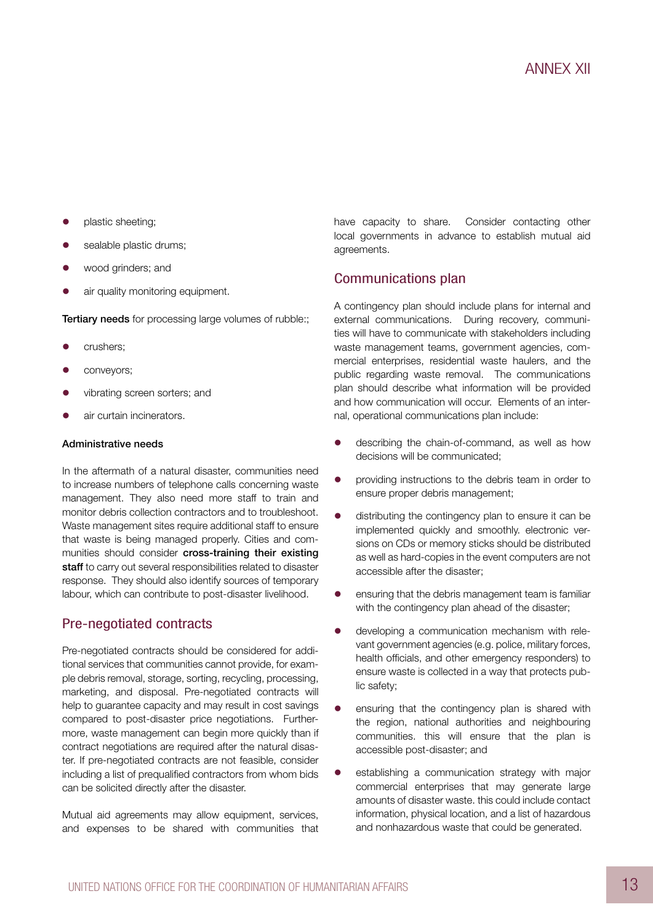- plastic sheeting;
- sealable plastic drums;
- wood grinders; and
- air quality monitoring equipment.

Tertiary needs for processing large volumes of rubble:;

- crushers:
- conveyors;
- vibrating screen sorters; and
- air curtain incinerators.

#### Administrative needs

In the aftermath of a natural disaster, communities need to increase numbers of telephone calls concerning waste management. They also need more staff to train and monitor debris collection contractors and to troubleshoot. Waste management sites require additional staff to ensure that waste is being managed properly. Cities and communities should consider cross-training their existing staff to carry out several responsibilities related to disaster response. They should also identify sources of temporary labour, which can contribute to post-disaster livelihood.

#### Pre-negotiated contracts

Pre-negotiated contracts should be considered for additional services that communities cannot provide, for example debris removal, storage, sorting, recycling, processing, marketing, and disposal. Pre-negotiated contracts will help to guarantee capacity and may result in cost savings compared to post-disaster price negotiations. Furthermore, waste management can begin more quickly than if contract negotiations are required after the natural disaster. If pre-negotiated contracts are not feasible, consider including a list of prequalified contractors from whom bids can be solicited directly after the disaster.

Mutual aid agreements may allow equipment, services, and expenses to be shared with communities that have capacity to share. Consider contacting other local governments in advance to establish mutual aid agreements.

### Communications plan

A contingency plan should include plans for internal and external communications. During recovery, communities will have to communicate with stakeholders including waste management teams, government agencies, commercial enterprises, residential waste haulers, and the public regarding waste removal. The communications plan should describe what information will be provided and how communication will occur. Elements of an internal, operational communications plan include:

- describing the chain-of-command, as well as how decisions will be communicated;
- **•** providing instructions to the debris team in order to ensure proper debris management;
- $\bullet$  distributing the contingency plan to ensure it can be implemented quickly and smoothly. electronic versions on CDs or memory sticks should be distributed as well as hard-copies in the event computers are not accessible after the disaster;
- ensuring that the debris management team is familiar with the contingency plan ahead of the disaster;
- developing a communication mechanism with relevant government agencies (e.g. police, military forces, health officials, and other emergency responders) to ensure waste is collected in a way that protects public safety;
- ensuring that the contingency plan is shared with the region, national authorities and neighbouring communities. this will ensure that the plan is accessible post-disaster; and
- **e** establishing a communication strategy with major commercial enterprises that may generate large amounts of disaster waste. this could include contact information, physical location, and a list of hazardous and nonhazardous waste that could be generated.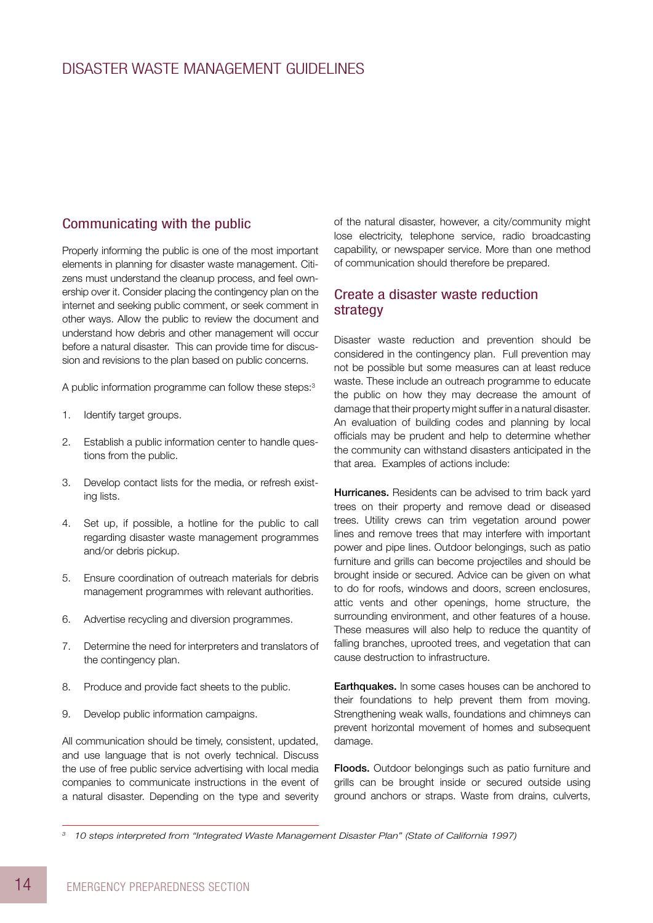### Communicating with the public

Properly informing the public is one of the most important elements in planning for disaster waste management. Citizens must understand the cleanup process, and feel ownership over it. Consider placing the contingency plan on the internet and seeking public comment, or seek comment in other ways. Allow the public to review the document and understand how debris and other management will occur before a natural disaster. This can provide time for discussion and revisions to the plan based on public concerns.

A public information programme can follow these steps:<sup>3</sup>

- 1. Identify target groups.
- 2. Establish a public information center to handle questions from the public.
- 3. Develop contact lists for the media, or refresh existing lists.
- 4. Set up, if possible, a hotline for the public to call regarding disaster waste management programmes and/or debris pickup.
- 5. Ensure coordination of outreach materials for debris management programmes with relevant authorities.
- 6. Advertise recycling and diversion programmes.
- 7. Determine the need for interpreters and translators of the contingency plan.
- 8. Produce and provide fact sheets to the public.
- 9. Develop public information campaigns.

All communication should be timely, consistent, updated, and use language that is not overly technical. Discuss the use of free public service advertising with local media companies to communicate instructions in the event of a natural disaster. Depending on the type and severity

of the natural disaster, however, a city/community might lose electricity, telephone service, radio broadcasting capability, or newspaper service. More than one method of communication should therefore be prepared.

### Create a disaster waste reduction strategy

Disaster waste reduction and prevention should be considered in the contingency plan. Full prevention may not be possible but some measures can at least reduce waste. These include an outreach programme to educate the public on how they may decrease the amount of damage that their property might suffer in a natural disaster. An evaluation of building codes and planning by local officials may be prudent and help to determine whether the community can withstand disasters anticipated in the that area. Examples of actions include:

Hurricanes. Residents can be advised to trim back yard trees on their property and remove dead or diseased trees. Utility crews can trim vegetation around power lines and remove trees that may interfere with important power and pipe lines. Outdoor belongings, such as patio furniture and grills can become projectiles and should be brought inside or secured. Advice can be given on what to do for roofs, windows and doors, screen enclosures, attic vents and other openings, home structure, the surrounding environment, and other features of a house. These measures will also help to reduce the quantity of falling branches, uprooted trees, and vegetation that can cause destruction to infrastructure.

**Earthquakes.** In some cases houses can be anchored to their foundations to help prevent them from moving. Strengthening weak walls, foundations and chimneys can prevent horizontal movement of homes and subsequent damage.

Floods. Outdoor belongings such as patio furniture and grills can be brought inside or secured outside using ground anchors or straps. Waste from drains, culverts,

*<sup>3</sup> 10 steps interpreted from "Integrated Waste Management Disaster Plan" (State of California 1997)*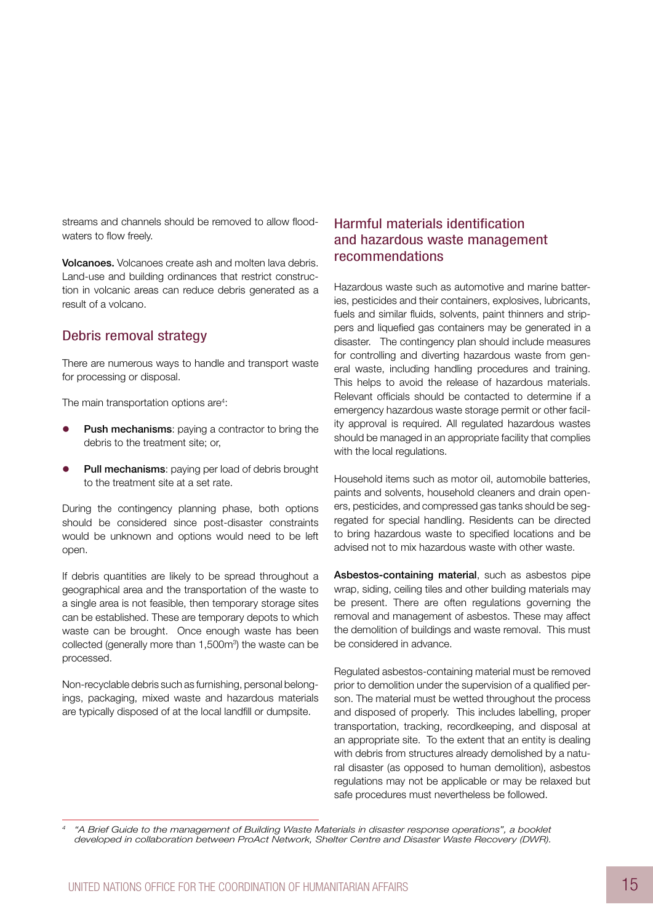streams and channels should be removed to allow floodwaters to flow freely.

Volcanoes. Volcanoes create ash and molten lava debris. Land-use and building ordinances that restrict construction in volcanic areas can reduce debris generated as a result of a volcano.

### Debris removal strategy

There are numerous ways to handle and transport waste for processing or disposal.

The main transportation options are<sup>4</sup>:

- Push mechanisms: paying a contractor to bring the debris to the treatment site; or,
- Pull mechanisms: paying per load of debris brought to the treatment site at a set rate.

During the contingency planning phase, both options should be considered since post-disaster constraints would be unknown and options would need to be left open.

If debris quantities are likely to be spread throughout a geographical area and the transportation of the waste to a single area is not feasible, then temporary storage sites can be established. These are temporary depots to which waste can be brought. Once enough waste has been collected (generally more than 1,500m<sup>3</sup>) the waste can be processed.

Non-recyclable debris such as furnishing, personal belongings, packaging, mixed waste and hazardous materials are typically disposed of at the local landfill or dumpsite.

### Harmful materials identification and hazardous waste management recommendations

Hazardous waste such as automotive and marine batteries, pesticides and their containers, explosives, lubricants, fuels and similar fluids, solvents, paint thinners and strippers and liquefied gas containers may be generated in a disaster. The contingency plan should include measures for controlling and diverting hazardous waste from general waste, including handling procedures and training. This helps to avoid the release of hazardous materials. Relevant officials should be contacted to determine if a emergency hazardous waste storage permit or other facility approval is required. All regulated hazardous wastes should be managed in an appropriate facility that complies with the local regulations.

Household items such as motor oil, automobile batteries, paints and solvents, household cleaners and drain openers, pesticides, and compressed gas tanks should be segregated for special handling. Residents can be directed to bring hazardous waste to specified locations and be advised not to mix hazardous waste with other waste.

Asbestos-containing material, such as asbestos pipe wrap, siding, ceiling tiles and other building materials may be present. There are often regulations governing the removal and management of asbestos. These may affect the demolition of buildings and waste removal. This must be considered in advance.

Regulated asbestos-containing material must be removed prior to demolition under the supervision of a qualified person. The material must be wetted throughout the process and disposed of properly. This includes labelling, proper transportation, tracking, recordkeeping, and disposal at an appropriate site. To the extent that an entity is dealing with debris from structures already demolished by a natural disaster (as opposed to human demolition), asbestos regulations may not be applicable or may be relaxed but safe procedures must nevertheless be followed.

*<sup>4</sup> "A Brief Guide to the management of Building Waste Materials in disaster response operations", a booklet developed in collaboration between ProAct Network, Shelter Centre and Disaster Waste Recovery (DWR).*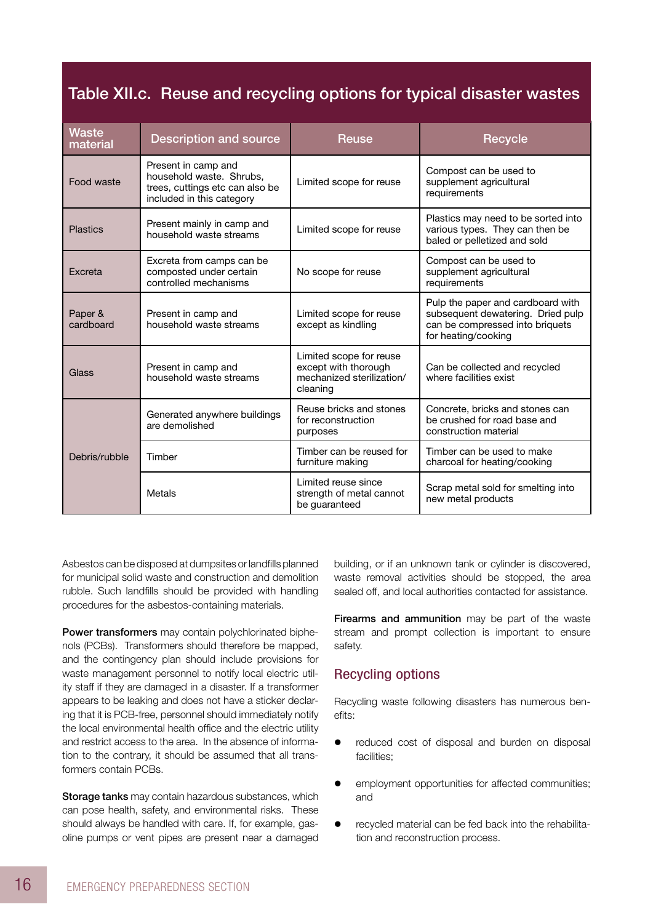## Table XII.c. Reuse and recycling options for typical disaster wastes

| <b>Waste</b><br>material | <b>Description and source</b>                                                                                   | <b>Reuse</b>                                                                             | <b>Recycle</b>                                                                                                                   |
|--------------------------|-----------------------------------------------------------------------------------------------------------------|------------------------------------------------------------------------------------------|----------------------------------------------------------------------------------------------------------------------------------|
| Food waste               | Present in camp and<br>household waste. Shrubs.<br>trees, cuttings etc can also be<br>included in this category | Limited scope for reuse                                                                  | Compost can be used to<br>supplement agricultural<br>requirements                                                                |
| <b>Plastics</b>          | Present mainly in camp and<br>household waste streams                                                           | Limited scope for reuse                                                                  | Plastics may need to be sorted into<br>various types. They can then be<br>baled or pelletized and sold                           |
| <b>Fxcreta</b>           | Excreta from camps can be<br>composted under certain<br>controlled mechanisms                                   | No scope for reuse                                                                       | Compost can be used to<br>supplement agricultural<br>requirements                                                                |
| Paper &<br>cardboard     | Present in camp and<br>household waste streams                                                                  | Limited scope for reuse<br>except as kindling                                            | Pulp the paper and cardboard with<br>subsequent dewatering. Dried pulp<br>can be compressed into briquets<br>for heating/cooking |
| Glass                    | Present in camp and<br>household waste streams                                                                  | Limited scope for reuse<br>except with thorough<br>mechanized sterilization/<br>cleaning | Can be collected and recycled<br>where facilities exist                                                                          |
|                          | Generated anywhere buildings<br>are demolished                                                                  | Reuse bricks and stones<br>for reconstruction<br>purposes                                | Concrete, bricks and stones can<br>be crushed for road base and<br>construction material                                         |
| Debris/rubble            | Timber                                                                                                          | Timber can be reused for<br>furniture making                                             | Timber can be used to make<br>charcoal for heating/cooking                                                                       |
|                          | Metals                                                                                                          | I imited reuse since<br>strength of metal cannot<br>be quaranteed                        | Scrap metal sold for smelting into<br>new metal products                                                                         |

Asbestos can be disposed at dumpsites or landfills planned for municipal solid waste and construction and demolition rubble. Such landfills should be provided with handling procedures for the asbestos-containing materials.

Power transformers may contain polychlorinated biphenols (PCBs). Transformers should therefore be mapped, and the contingency plan should include provisions for waste management personnel to notify local electric utility staff if they are damaged in a disaster. If a transformer appears to be leaking and does not have a sticker declaring that it is PCB-free, personnel should immediately notify the local environmental health office and the electric utility and restrict access to the area. In the absence of information to the contrary, it should be assumed that all transformers contain PCBs.

Storage tanks may contain hazardous substances, which can pose health, safety, and environmental risks. These should always be handled with care. If, for example, gasoline pumps or vent pipes are present near a damaged building, or if an unknown tank or cylinder is discovered, waste removal activities should be stopped, the area sealed off, and local authorities contacted for assistance.

Firearms and ammunition may be part of the waste stream and prompt collection is important to ensure safety.

### Recycling options

Recycling waste following disasters has numerous benefits:

- reduced cost of disposal and burden on disposal facilities;
- employment opportunities for affected communities; and
- recycled material can be fed back into the rehabilitation and reconstruction process.